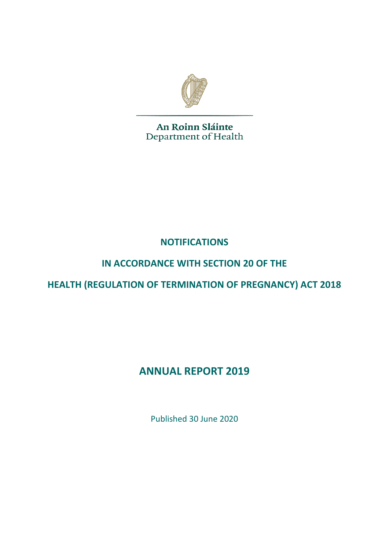

An Roinn Sláinte Department of Health

**NOTIFICATIONS** 

## **IN ACCORDANCE WITH SECTION 20 OF THE**

**HEALTH (REGULATION OF TERMINATION OF PREGNANCY) ACT 2018**

# **ANNUAL REPORT 2019**

Published 30 June 2020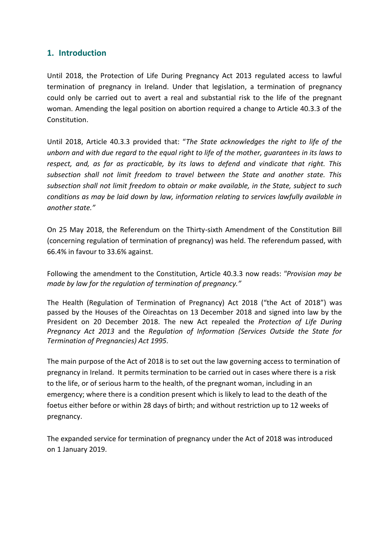#### **1. Introduction**

Until 2018, the Protection of Life During Pregnancy Act 2013 regulated access to lawful termination of pregnancy in Ireland. Under that legislation, a termination of pregnancy could only be carried out to avert a real and substantial risk to the life of the pregnant woman. Amending the legal position on abortion required a change to Article 40.3.3 of the Constitution.

Until 2018, Article 40.3.3 provided that: "*The State acknowledges the right to life of the unborn and with due regard to the equal right to life of the mother, guarantees in its laws to respect, and, as far as practicable, by its laws to defend and vindicate that right. This subsection shall not limit freedom to travel between the State and another state. This subsection shall not limit freedom to obtain or make available, in the State, subject to such conditions as may be laid down by law, information relating to services lawfully available in another state."*

On 25 May 2018, the Referendum on the Thirty-sixth Amendment of the Constitution Bill (concerning regulation of termination of pregnancy) was held. The referendum passed, with 66.4% in favour to 33.6% against.

Following the amendment to the Constitution, Article 40.3.3 now reads: *"Provision may be made by law for the regulation of termination of pregnancy."*

The Health (Regulation of Termination of Pregnancy) Act 2018 ("the Act of 2018") was passed by the Houses of the Oireachtas on 13 December 2018 and signed into law by the President on 20 December 2018. The new Act repealed the *Protection of Life During Pregnancy Act 2013* and the *Regulation of Information (Services Outside the State for Termination of Pregnancies) Act 1995.* 

The main purpose of the Act of 2018 is to set out the law governing access to termination of pregnancy in Ireland. It permits termination to be carried out in cases where there is a risk to the life, or of serious harm to the health, of the pregnant woman, including in an emergency; where there is a condition present which is likely to lead to the death of the foetus either before or within 28 days of birth; and without restriction up to 12 weeks of pregnancy.

The expanded service for termination of pregnancy under the Act of 2018 was introduced on 1 January 2019.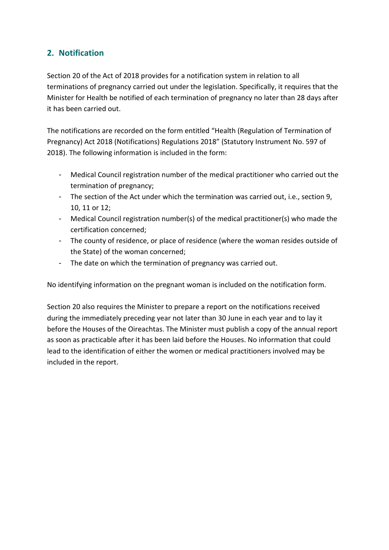#### **2. Notification**

Section 20 of the Act of 2018 provides for a notification system in relation to all terminations of pregnancy carried out under the legislation. Specifically, it requires that the Minister for Health be notified of each termination of pregnancy no later than 28 days after it has been carried out.

The notifications are recorded on the form entitled "Health (Regulation of Termination of Pregnancy) Act 2018 (Notifications) Regulations 2018" (Statutory Instrument No. 597 of 2018). The following information is included in the form:

- Medical Council registration number of the medical practitioner who carried out the termination of pregnancy;
- The section of the Act under which the termination was carried out, i.e., section 9, 10, 11 or 12;
- Medical Council registration number(s) of the medical practitioner(s) who made the certification concerned;
- The county of residence, or place of residence (where the woman resides outside of the State) of the woman concerned;
- The date on which the termination of pregnancy was carried out.

No identifying information on the pregnant woman is included on the notification form.

Section 20 also requires the Minister to prepare a report on the notifications received during the immediately preceding year not later than 30 June in each year and to lay it before the Houses of the Oireachtas. The Minister must publish a copy of the annual report as soon as practicable after it has been laid before the Houses. No information that could lead to the identification of either the women or medical practitioners involved may be included in the report.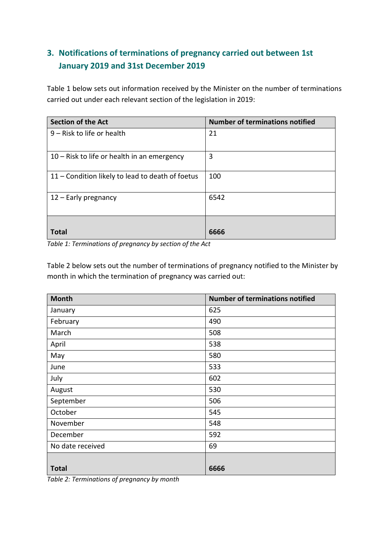### **3. Notifications of terminations of pregnancy carried out between 1st January 2019 and 31st December 2019**

Table 1 below sets out information received by the Minister on the number of terminations carried out under each relevant section of the legislation in 2019:

| <b>Section of the Act</b>                        | <b>Number of terminations notified</b> |
|--------------------------------------------------|----------------------------------------|
| 9 - Risk to life or health                       | 21                                     |
|                                                  |                                        |
| $10 -$ Risk to life or health in an emergency    | 3                                      |
| 11 - Condition likely to lead to death of foetus | 100                                    |
| 12 - Early pregnancy                             | 6542                                   |
|                                                  |                                        |
| Total                                            | 6666                                   |

*Table 1: Terminations of pregnancy by section of the Act*

Table 2 below sets out the number of terminations of pregnancy notified to the Minister by month in which the termination of pregnancy was carried out:

| <b>Month</b>     | <b>Number of terminations notified</b> |
|------------------|----------------------------------------|
| January          | 625                                    |
| February         | 490                                    |
| March            | 508                                    |
| April            | 538                                    |
| May              | 580                                    |
| June             | 533                                    |
| July             | 602                                    |
| August           | 530                                    |
| September        | 506                                    |
| October          | 545                                    |
| November         | 548                                    |
| December         | 592                                    |
| No date received | 69                                     |
|                  |                                        |
| <b>Total</b>     | 6666                                   |

*Table 2: Terminations of pregnancy by month*